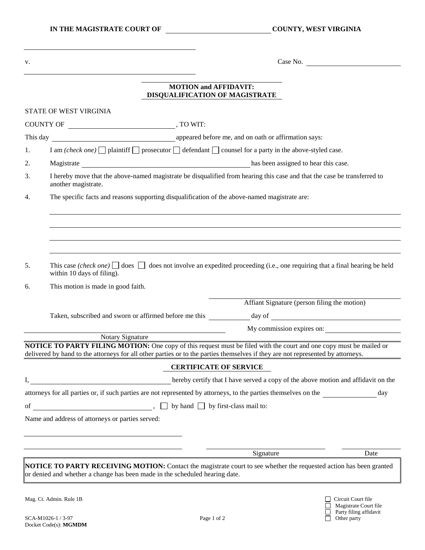Magistrate Court file Party filing affidavit

v. Case No.

## **MOTION and AFFIDAVIT: DISQUALIFICATION OF MAGISTRATE**

|    | STATE OF WEST VIRGINIA                                                                                                                                                                                                                                                                                                                                                            |                                                                                                                         |
|----|-----------------------------------------------------------------------------------------------------------------------------------------------------------------------------------------------------------------------------------------------------------------------------------------------------------------------------------------------------------------------------------|-------------------------------------------------------------------------------------------------------------------------|
|    | $\begin{picture}(150,10) \put(0,0){\dashbox{0.5}(10,0){ }} \put(150,0){\circle{10}} \put(150,0){\circle{10}} \put(150,0){\circle{10}} \put(150,0){\circle{10}} \put(150,0){\circle{10}} \put(150,0){\circle{10}} \put(150,0){\circle{10}} \put(150,0){\circle{10}} \put(150,0){\circle{10}} \put(150,0){\circle{10}} \put(150,0){\circle{10}} \put(150,0){\circle{10}} \put(150,$ |                                                                                                                         |
|    | This day <b>Example 2018</b> appeared before me, and on oath or affirmation says:                                                                                                                                                                                                                                                                                                 |                                                                                                                         |
| 1. | I am (check one) $\Box$ plaintiff $\Box$ prosecutor $\Box$ defendant $\Box$ counsel for a party in the above-styled case.                                                                                                                                                                                                                                                         |                                                                                                                         |
| 2. | Magistrate has been assigned to hear this case.                                                                                                                                                                                                                                                                                                                                   |                                                                                                                         |
| 3. | I hereby move that the above-named magistrate be disqualified from hearing this case and that the case be transferred to<br>another magistrate.                                                                                                                                                                                                                                   |                                                                                                                         |
| 4. | The specific facts and reasons supporting disqualification of the above-named magistrate are:                                                                                                                                                                                                                                                                                     |                                                                                                                         |
|    |                                                                                                                                                                                                                                                                                                                                                                                   |                                                                                                                         |
| 5. | This case (check one) $\Box$ does $\Box$ does not involve an expedited proceeding (i.e., one requiring that a final hearing be held<br>within 10 days of filing).                                                                                                                                                                                                                 |                                                                                                                         |
| 6. | This motion is made in good faith.                                                                                                                                                                                                                                                                                                                                                |                                                                                                                         |
|    |                                                                                                                                                                                                                                                                                                                                                                                   | Affiant Signature (person filing the motion)                                                                            |
|    |                                                                                                                                                                                                                                                                                                                                                                                   |                                                                                                                         |
|    |                                                                                                                                                                                                                                                                                                                                                                                   | My commission expires on:                                                                                               |
|    | Notary Signature                                                                                                                                                                                                                                                                                                                                                                  |                                                                                                                         |
|    | delivered by hand to the attorneys for all other parties or to the parties themselves if they are not represented by attorneys.                                                                                                                                                                                                                                                   | NOTICE TO PARTY FILING MOTION: One copy of this request must be filed with the court and one copy must be mailed or     |
|    |                                                                                                                                                                                                                                                                                                                                                                                   | <b>CERTIFICATE OF SERVICE</b>                                                                                           |
|    |                                                                                                                                                                                                                                                                                                                                                                                   | hereby certify that I have served a copy of the above motion and affidavit on the                                       |
|    |                                                                                                                                                                                                                                                                                                                                                                                   | attorneys for all parties or, if such parties are not represented by attorneys, to the parties themselves on the<br>day |
|    | of $\Box$ by hand $\Box$ by first-class mail to:                                                                                                                                                                                                                                                                                                                                  |                                                                                                                         |
|    | Name and address of attorneys or parties served:                                                                                                                                                                                                                                                                                                                                  |                                                                                                                         |
|    |                                                                                                                                                                                                                                                                                                                                                                                   |                                                                                                                         |
|    |                                                                                                                                                                                                                                                                                                                                                                                   |                                                                                                                         |
|    |                                                                                                                                                                                                                                                                                                                                                                                   | Signature<br>Date                                                                                                       |
|    | or denied and whether a change has been made in the scheduled hearing date.                                                                                                                                                                                                                                                                                                       | NOTICE TO PARTY RECEIVING MOTION: Contact the magistrate court to see whether the requested action has been granted     |